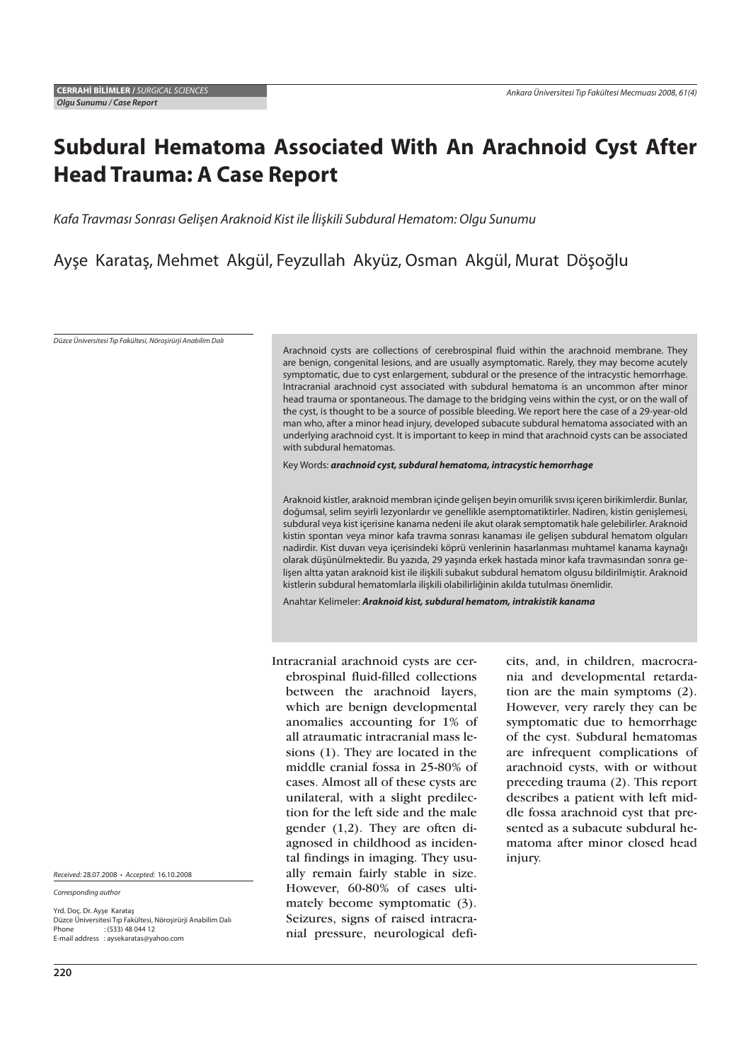# **Subdural Hematoma Associated With An Arachnoid Cyst After Head Trauma: A Case Report**

Kafa Travması Sonrası Gelişen Araknoid Kist ile İlişkili Subdural Hematom: Olgu Sunumu

Ayşe Karataş, Mehmet Akgül, Feyzullah Akyüz, Osman Akgül, Murat Döşoğlu

Düzce Üniversitesi Tıp Fakültesi, Nöroşirürji Anabilim Dalı

Arachnoid cysts are collections of cerebrospinal fluid within the arachnoid membrane. They are benign, congenital lesions, and are usually asymptomatic. Rarely, they may become acutely symptomatic, due to cyst enlargement, subdural or the presence of the intracystic hemorrhage. Intracranial arachnoid cyst associated with subdural hematoma is an uncommon after minor head trauma or spontaneous. The damage to the bridging veins within the cyst, or on the wall of the cyst, is thought to be a source of possible bleeding. We report here the case of a 29-year-old man who, after a minor head injury, developed subacute subdural hematoma associated with an underlying arachnoid cyst. It is important to keep in mind that arachnoid cysts can be associated with subdural hematomas.

Key Words: *arachnoid cyst, subdural hematoma, intracystic hemorrhage*

Araknoid kistler, araknoid membran içinde gelişen beyin omurilik sıvısı içeren birikimlerdir. Bunlar, doğumsal, selim seyirli lezyonlardır ve genellikle asemptomatiktirler. Nadiren, kistin genişlemesi, subdural veya kist içerisine kanama nedeni ile akut olarak semptomatik hale gelebilirler. Araknoid kistin spontan veya minor kafa travma sonrası kanaması ile gelişen subdural hematom olguları nadirdir. Kist duvarı veya içerisindeki köprü venlerinin hasarlanması muhtamel kanama kaynağı olarak düşünülmektedir. Bu yazıda, 29 yaşında erkek hastada minor kafa travmasından sonra gelişen altta yatan araknoid kist ile ilişkili subakut subdural hematom olgusu bildirilmiştir. Araknoid kistlerin subdural hematomlarla ilişkili olabilirliğinin akılda tutulması önemlidir.

Anahtar Kelimeler: *Araknoid kist, subdural hematom, intrakistik kanama*

Intracranial arachnoid cysts are cerebrospinal fluid-filled collections between the arachnoid layers, which are benign developmental anomalies accounting for 1% of all atraumatic intracranial mass lesions (1). They are located in the middle cranial fossa in 25-80% of cases. Almost all of these cysts are unilateral, with a slight predilection for the left side and the male gender (1,2). They are often diagnosed in childhood as incidental findings in imaging. They usually remain fairly stable in size. However, 60-80% of cases ultimately become symptomatic (3). Seizures, signs of raised intracranial pressure, neurological deficits, and, in children, macrocrania and developmental retardation are the main symptoms (2). However, very rarely they can be symptomatic due to hemorrhage of the cyst. Subdural hematomas are infrequent complications of arachnoid cysts, with or without preceding trauma (2). This report describes a patient with left middle fossa arachnoid cyst that presented as a subacute subdural hematoma after minor closed head injury.

Received: 28.07.2008 • Accepted: 16.10.2008

Corresponding author

Yrd. Doç. Dr. Ayşe Karataş Düzce Üniversitesi Tıp Fakültesi, Nöroşirürji Anabilim Dalı<br>Phone : : (533) 48 044 12  $(533)$  48 044 12 E-mail address : aysekaratas@yahoo.com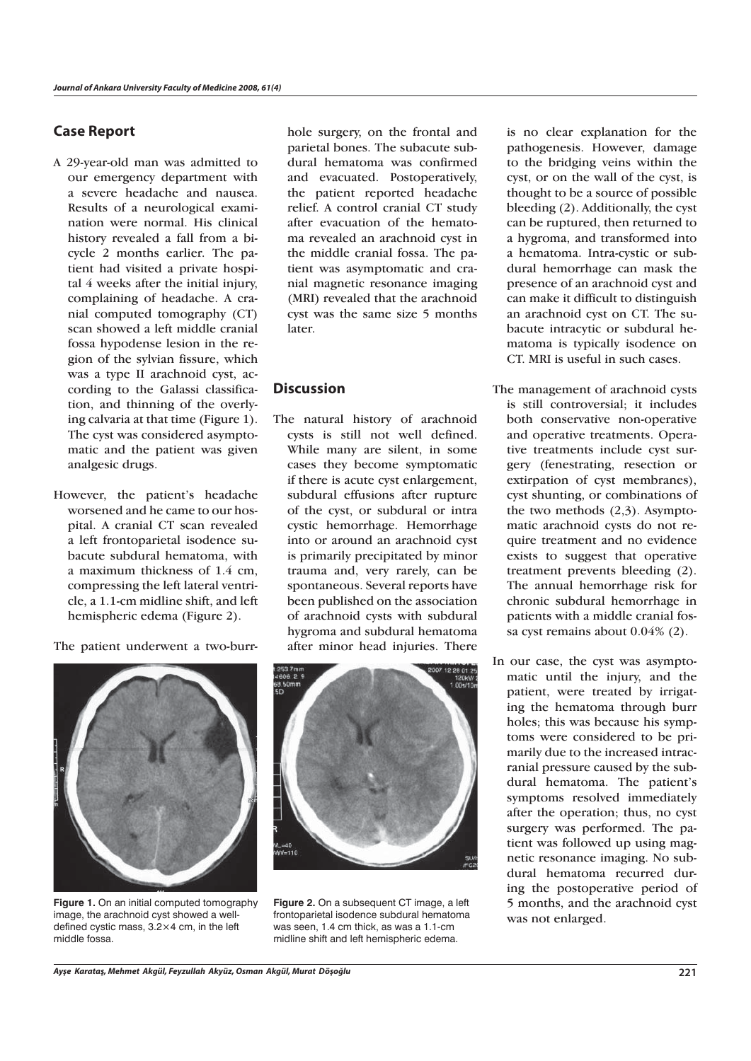### **Case Report**

- A 29-year-old man was admitted to our emergency department with a severe headache and nausea. Results of a neurological examination were normal. His clinical history revealed a fall from a bicycle 2 months earlier. The patient had visited a private hospital 4 weeks after the initial injury, complaining of headache. A cranial computed tomography (CT) scan showed a left middle cranial fossa hypodense lesion in the region of the sylvian fissure, which was a type II arachnoid cyst, according to the Galassi classification, and thinning of the overlying calvaria at that time (Figure 1). The cyst was considered asymptomatic and the patient was given analgesic drugs.
- However, the patient's headache worsened and he came to our hospital. A cranial CT scan revealed a left frontoparietal isodence subacute subdural hematoma, with a maximum thickness of 1.4 cm, compressing the left lateral ventricle, a 1.1-cm midline shift, and left hemispheric edema (Figure 2).

The patient underwent a two-burr-



**Figure 1.** On an initial computed tomography image, the arachnoid cyst showed a welldefined cystic mass, 3.2×4 cm, in the left middle fossa.

hole surgery, on the frontal and parietal bones. The subacute subdural hematoma was confirmed and evacuated. Postoperatively, the patient reported headache relief. A control cranial CT study after evacuation of the hematoma revealed an arachnoid cyst in the middle cranial fossa. The patient was asymptomatic and cranial magnetic resonance imaging (MRI) revealed that the arachnoid cyst was the same size 5 months later.

# **Discussion**

The natural history of arachnoid cysts is still not well defined. While many are silent, in some cases they become symptomatic if there is acute cyst enlargement, subdural effusions after rupture of the cyst, or subdural or intra cystic hemorrhage. Hemorrhage into or around an arachnoid cyst is primarily precipitated by minor trauma and, very rarely, can be spontaneous. Several reports have been published on the association of arachnoid cysts with subdural hygroma and subdural hematoma after minor head injuries. There



**Figure 2.** On a subsequent CT image, a left frontoparietal isodence subdural hematoma was seen, 1.4 cm thick, as was a 1.1-cm midline shift and left hemispheric edema.

is no clear explanation for the pathogenesis. However, damage to the bridging veins within the cyst, or on the wall of the cyst, is thought to be a source of possible bleeding (2). Additionally, the cyst can be ruptured, then returned to a hygroma, and transformed into a hematoma. Intra-cystic or subdural hemorrhage can mask the presence of an arachnoid cyst and can make it difficult to distinguish an arachnoid cyst on CT. The subacute intracytic or subdural hematoma is typically isodence on CT. MRI is useful in such cases.

- The management of arachnoid cysts is still controversial; it includes both conservative non-operative and operative treatments. Operative treatments include cyst surgery (fenestrating, resection or extirpation of cyst membranes), cyst shunting, or combinations of the two methods (2,3). Asymptomatic arachnoid cysts do not require treatment and no evidence exists to suggest that operative treatment prevents bleeding (2). The annual hemorrhage risk for chronic subdural hemorrhage in patients with a middle cranial fossa cyst remains about 0.04% (2).
- In our case, the cyst was asymptomatic until the injury, and the patient, were treated by irrigating the hematoma through burr holes; this was because his symptoms were considered to be primarily due to the increased intracranial pressure caused by the subdural hematoma. The patient's symptoms resolved immediately after the operation; thus, no cyst surgery was performed. The patient was followed up using magnetic resonance imaging. No subdural hematoma recurred during the postoperative period of 5 months, and the arachnoid cyst was not enlarged.